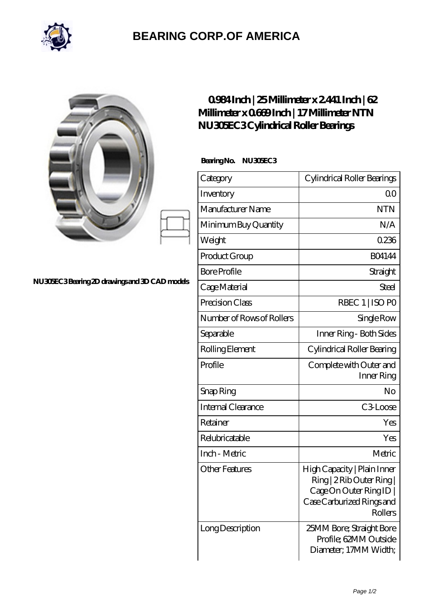

## **[BEARING CORP.OF AMERICA](https://bluemondayreview.com)**

|                                              | $0984$ Inch   25 Millimeter x 2441 Inch   62<br>Millimeter x 0669 Inch   17 Millimeter NTN<br>NU30EC3Cylindrical Roller Bearings |                                                                                                                           |
|----------------------------------------------|----------------------------------------------------------------------------------------------------------------------------------|---------------------------------------------------------------------------------------------------------------------------|
| NU30EC3Bearing 2D drawings and 3D CAD models | BearingNo.<br>NU30EC3                                                                                                            |                                                                                                                           |
|                                              | Category                                                                                                                         | Cylindrical Roller Bearings                                                                                               |
|                                              | Inventory                                                                                                                        | 0 <sub>0</sub>                                                                                                            |
|                                              | Manufacturer Name                                                                                                                | <b>NTN</b>                                                                                                                |
|                                              | Minimum Buy Quantity                                                                                                             | N/A                                                                                                                       |
|                                              | Weight                                                                                                                           | 0.236                                                                                                                     |
|                                              | Product Group                                                                                                                    | <b>BO4144</b>                                                                                                             |
|                                              | <b>Bore Profile</b>                                                                                                              | Straight                                                                                                                  |
|                                              | Cage Material                                                                                                                    | <b>Steel</b>                                                                                                              |
|                                              | Precision Class                                                                                                                  | RBEC 1   ISO PO                                                                                                           |
|                                              | Number of Rows of Rollers                                                                                                        | Single Row                                                                                                                |
|                                              | Separable                                                                                                                        | Inner Ring - Both Sides                                                                                                   |
|                                              | Rolling Element                                                                                                                  | Cylindrical Roller Bearing                                                                                                |
|                                              | Profile                                                                                                                          | Complete with Outer and<br>Inner Ring                                                                                     |
|                                              | Snap Ring                                                                                                                        | No                                                                                                                        |
|                                              | Internal Clearance                                                                                                               | C3Loose                                                                                                                   |
|                                              | Retainer                                                                                                                         | Yes                                                                                                                       |
|                                              | Relubricatable                                                                                                                   | Yes                                                                                                                       |
|                                              | Inch - Metric                                                                                                                    | Metric                                                                                                                    |
|                                              | <b>Other Features</b>                                                                                                            | High Capacity   Plain Inner<br>Ring   2 Rib Outer Ring  <br>Cage On Outer Ring ID<br>Case Carburized Rings and<br>Rollers |
|                                              | Long Description                                                                                                                 | 25MM Bore; Straight Bore<br>Profile; 62MM Outside<br>Diameter; 17MM Width;                                                |

 $\overline{\phantom{a}}$